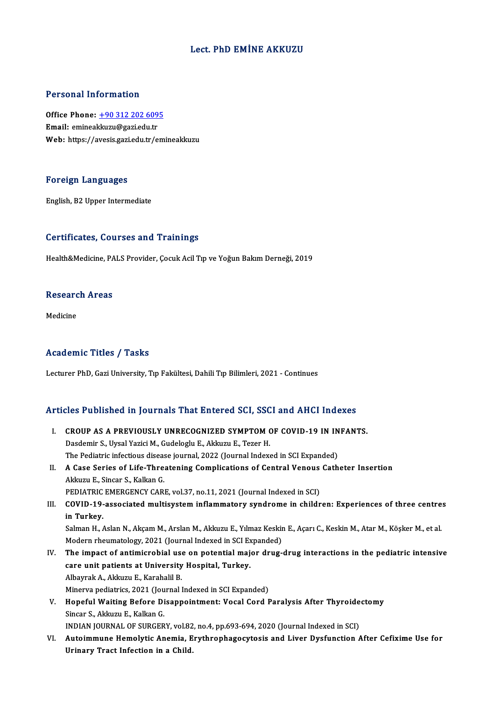#### Lect. PhD EMİNE AKKUZU

#### Personal Information

Personal Information<br>Office Phone: <u>+90 312 202 6095</u><br>Email: emineal:largu@gari.edu.tr Procedia Africa Indianas.<br>Office Phone: <u>+90 312 202 609</u><br>Email: eminea[kkuzu@gazi.edu.tr](tel:+90 312 202 6095) Email: emineakkuzu@gazi.edu.tr<br>Web: https://avesis.gazi.edu.tr/emineakkuzu

#### Foreign Languages

English,B2Upper Intermediate

#### Certificates, Courses and Trainings

Health&Medicine, PALS Provider, Çocuk Acil Tıp ve Yoğun Bakım Derneği, 2019

## nealth&medicine, PA<br>Research Areas <mark>Resear</mark>c<br><sub>Medicine</sub>

## Medicine<br>Academic Titles / Tasks

Lecturer PhD, Gazi University, Tıp Fakültesi, Dahili Tıp Bilimleri, 2021 - Continues

# Lecturer PhD, Gazi University, Tip Fakultesi, Dahill Tip Billmeri, 2021 - Continues<br>Articles Published in Journals That Entered SCI, SSCI and AHCI Indexes

- rticles Published in Journals That Entered SCI, SSCI and AHCI Indexes<br>I. CROUP AS A PREVIOUSLY UNRECOGNIZED SYMPTOM OF COVID-19 IN INFANTS. I. CROUP AS A PREVIOUSLY UNRECOGNIZED SYMPTOM OF COVID-19 IN INFANTS.<br>Dasdemir S., Uysal Yazici M., Gudeloglu E., Akkuzu E., Tezer H. The Pediatric infectious disease journal, 2022 (Journal Indexed in SCI Expanded) Dasdemir S., Uysal Yazici M., Gudeloglu E., Akkuzu E., Tezer H.<br>The Pediatric infectious disease journal, 2022 (Journal Indexed in SCI Expanded)<br>II. A Case Series of Life-Threatening Complications of Central Venous Cathete The Pediatric infectious diseas<br>A Case Series of Life-Thre<br>Akkuzu E., Sincar S., Kalkan G.<br>PEDIATRIC EMERCENCY CAR A Case Series of Life-Threatening Complications of Central Venous<br>Akkuzu E., Sincar S., Kalkan G.<br>PEDIATRIC EMERGENCY CARE, vol.37, no.11, 2021 (Journal Indexed in SCI)<br>COVID 19 associated multisystem inflammatory syndrome Akkuzu E., Sincar S., Kalkan G.<br>PEDIATRIC EMERGENCY CARE, vol.37, no.11, 2021 (Journal Indexed in SCI)<br>III. COVID-19-associated multisystem inflammatory syndrome in children: Experiences of three centres<br>in Turkov PEDIATRIC<br>COVID-19-<br>in Turkey.<br>Selman H COVID-19-associated multisystem inflammatory syndrome in children: Experiences of three centre<br>in Turkey.<br>Salman H., Aslan N., Akçam M., Arslan M., Akkuzu E., Yılmaz Keskin E., Açarı C., Keskin M., Atar M., Köşker M., et a i<mark>n Turkey.</mark><br>Salman H., Aslan N., Akçam M., Arslan M., Akkuzu E., Yılmaz Keskir<br>Modern rheumatology, 2021 (Journal Indexed in SCI Expanded)<br>The impast of antimisrabial use en potential major drug Salman H., Aslan N., Akçam M., Arslan M., Akkuzu E., Yılmaz Keskin E., Açarı C., Keskin M., Atar M., Köşker M., et al.<br>Modern rheumatology, 2021 (Journal Indexed in SCI Expanded)<br>IV. The impact of antimicrobial use on pote Modern rheumatology, 2021 (Journal Indexed in SCI Ex<br>The impact of antimicrobial use on potential maj<br>care unit patients at University Hospital, Turkey.<br>Alberrak A. Aldrum E. Karabaki B. The impact of antimicrobial use<br>care unit patients at University<br>Albayrak A., Akkuzu E., Karahalil B.<br>Minewa podiatrice 2021 (Journal l care unit patients at University Hospital, Turkey.<br>Albayrak A., Akkuzu E., Karahalil B.<br>Minerva pediatrics, 2021 (Journal Indexed in SCI Expanded)<br>Honeful Waiting Pefere Disenneintment: Vesel Cerd I Albayrak A., Akkuzu E., Karahalil B.<br>Minerva pediatrics, 2021 (Journal Indexed in SCI Expanded)<br>V. Hopeful Waiting Before Disappointment: Vocal Cord Paralysis After Thyroidectomy<br>Singer S. Akkuzu E. Kalkan G. Minerva pediatrics, 2021 (Jou<br>Hopeful Waiting Before Di<br>Sincar S., Akkuzu E., Kalkan G.<br>INDIAN IOURNAL OF SURCER Hopeful Waiting Before Disappointment: Vocal Cord Paralysis After Thyroide<br>Sincar S., Akkuzu E., Kalkan G.<br>INDIAN JOURNAL OF SURGERY, vol.82, no.4, pp.693-694, 2020 (Journal Indexed in SCI)<br>Autoimmune Hemelytic Anemie, Eny Sincar S., Akkuzu E., Kalkan G.<br>INDIAN JOURNAL OF SURGERY, vol.82, no.4, pp.693-694, 2020 (Journal Indexed in SCI)<br>VI. Autoimmune Hemolytic Anemia, Erythrophagocytosis and Liver Dysfunction After Cefixime Use for<br>Unine INDIAN JOURNAL OF SURGERY, vol.82<br>Autoimmune Hemolytic Anemia, E<br>Urinary Tract Infection in a Child.
-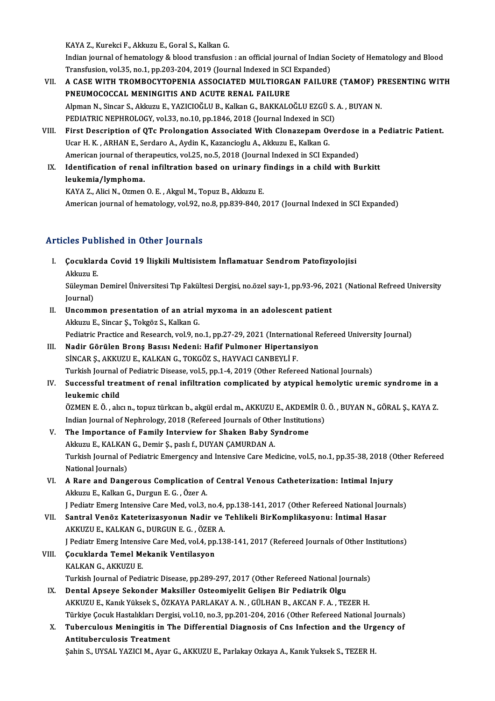KAYA Z., Kurekci F., Akkuzu E., Goral S., Kalkan G.

Indian journal of hematology & blood transfusion: an official journal of Indian Society of Hematology and Blood KAYA Z., Kurekci F., Akkuzu E., Goral S., Kalkan G.<br>Indian journal of hematology & blood transfusion : an official journal of Indian :<br>Transfusion, vol.35, no.1, pp.203-204, 2019 (Journal Indexed in SCI Expanded)<br>A GASE WI Indian journal of hematology & blood transfusion : an official journal of Indian Society of Hematology and Blood<br>Transfusion, vol.35, no.1, pp.203-204, 2019 (Journal Indexed in SCI Expanded)<br>VII. A CASE WITH TROMBOCYTOPENI

- Transfusion, vol.35, no.1, pp.203-204, 2019 (Journal Indexed in SCI<br>A CASE WITH TROMBOCYTOPENIA ASSOCIATED MULTIORGA<br>PNEUMOCOCCAL MENINGITIS AND ACUTE RENAL FAILURE<br>Alpman N. Singar S. Alduru E. VAZICIOČI II P. Kallon G. B A CASE WITH TROMBOCYTOPENIA ASSOCIATED MULTIORGAN FAILURE (TAMOF) P<br>PNEUMOCOCCAL MENINGITIS AND ACUTE RENAL FAILURE<br>Alpman N., Sincar S., Akkuzu E., YAZICIOĞLU B., Kalkan G., BAKKALOĞLU EZGÜ S. A. , BUYAN N.<br>PEDIATPIC NEPH PNEUMOCOCCAL MENINGITIS AND ACUTE RENAL FAILURE<br>Alpman N., Sincar S., Akkuzu E., YAZICIOĞLU B., Kalkan G., BAKKALOĞLU EZGÜ S. A. , BUYAN N. PEDIATRIC NEPHROLOGY, vol.33, no.10, pp.1846, 2018 (Journal Indexed in SCI)
- VIII. First Description of QTc Prolongation Associated With Clonazepam Overdose in a Pediatric Patient.<br>Ucar H. K., ARHAN E., Serdaro A., Aydin K., Kazancioglu A., Akkuzu E., Kalkan G. First Description of QTc Prolongation Associated With Clonazepam Overdose<br>Ucar H. K., ARHAN E., Serdaro A., Aydin K., Kazancioglu A., Akkuzu E., Kalkan G.<br>American journal of therapeutics, vol.25, no.5, 2018 (Journal Index Ucar H. K. , ARHAN E., Serdaro A., Aydin K., Kazancioglu A., Akkuzu E., Kalkan G.<br>American journal of therapeutics, vol.25, no.5, 2018 (Journal Indexed in SCI Expanded)<br>IX. Identification of renal infiltration based on uri
- American journal of the<br>Identification of rena<br>leukemia/lymphoma.<br>KAVA 7. Alisi N. Ormon Identification of renal infiltration based on urinary !<br>leukemia/lymphoma.<br>KAYA Z., Alici N., Ozmen O. E. , Akgul M., Topuz B., Akkuzu E.<br>American iournal of hematelegy. vol.92, no.9, np.929,940,2

leukemia/lymphoma.<br>KAYA Z., Alici N., Ozmen O. E. , Akgul M., Topuz B., Akkuzu E.<br>American journal of hematology, vol.92, no.8, pp.839-840, 2017 (Journal Indexed in SCI Expanded)

#### Articles Published in Other Journals

rticles Published in Other Journals<br>I. Çocuklarda Covid 19 İlişkili Multisistem İnflamatuar Sendrom Patofizyolojisi<br>Aklamu E Sics I us<br>Cocuklar<br>Akkuzu E.<br>Süleyman Çocuklarda Covid 19 İlişkili Multisistem İnflamatuar Sendrom Patofizyolojisi<br>Akkuzu E.<br>Süleyman Demirel Üniversitesi Tıp Fakültesi Dergisi, no.özel sayı-1, pp.93-96, 2021 (National Refreed University<br>Journal)

Akkuzu <mark>E</mark><br>Süleymaı<br>Journal)<br>Unsemn Süleyman Demirel Üniversitesi Tıp Fakültesi Dergisi, no.özel sayı-1, pp.93-96, 20<br>Journal)<br>II. Uncommon presentation of an atrial myxoma in an adolescent patient<br>Akkuru E. Sincer S. Teksör S. Kelkan G.

- Journal)<br>Uncommon presentation of an atria<br>Akkuzu E., Sincar Ş., Tokgöz S., Kalkan G.<br>Pediatria Prestice and Besearsh vol 9, ne Akkuzu E., Sincar Ș., Tokgöz S., Kalkan G.<br>Pediatric Practice and Research, vol.9, no.1, pp.27-29, 2021 (International Refereed University Journal) Akkuzu E., Sincar Ş., Tokgöz S., Kalkan G.<br>Pediatric Practice and Research, vol.9, no.1, pp.27-29, 2021 (International Research)<br>III. Nadir Görülen Bronş Basısı Nedeni: Hafif Pulmoner Hipertansiyon<br>SUCAR S. AVVUZU E. VALVA
- Pediatric Practice and Research, vol.9, no.1, pp.27-29, 2021 (International Madir Görülen Brons Basısı Nedeni: Hafif Pulmoner Hipertan:<br>SİNCAR Ş., AKKUZU E., KALKAN G., TOKGÖZ S., HAYVACI CANBEYLİ F.<br>Turkish Journal of Ped SİNCAR Ş., AKKUZU E., KALKAN G., TOKGÖZ S., HAYVACI CANBEYLİ F.<br>Turkish Journal of Pediatric Disease, vol.5, pp.1-4, 2019 (Other Refereed National Journals) SİNCAR Ş., AKKUZU E., KALKAN G., TOKGÖZ S., HAYVACI CANBEYLİ F.<br>Turkish Journal of Pediatric Disease, vol.5, pp.1-4, 2019 (Other Refereed National Journals)<br>IV. Successful treatment of renal infiltration complicated by a
- Turkish Journal d<br>Successful trea<br>leukemic child<br>ÖЗМЕМ Е. Ö. alv Successful treatment of renal infiltration complicated by atypical hemolytic uremic syndrome in a<br>leukemic child<br>ÖZMEN E. Ö. , alıcın., topuz türkcan b., akgül erdal m., AKKUZU E., AKDEMİR Ü. Ö. , BUYAN N., GÖRAL Ş., KAYA leukemic child<br>ÖZMEN E. Ö. , alıcı n., topuz türkcan b., akgül erdal m., AKKUZU E., AKDEMİR Ü. Ö. , BUYAN N., GÖRAL Ş., KAYA Z

Indian Journal of Nephrology, 2018 (Refereed Journals of Other Institutions)

- V. The Importance of Family Interview for Shaken Baby Syndrome<br>Akkuzu E., KALKAN G., Demir Ş., paslı f., DUYAN ÇAMURDAN A. The Importance of Family Interview for Shaken Baby Syndrome<br>Akkuzu E., KALKAN G., Demir Ş., paslı f., DUYAN ÇAMURDAN A.<br>Turkish Journal of Pediatric Emergency and Intensive Care Medicine, vol.5, no.1, pp.35-38, 2018 (Other Akkuzu E., KALKAN<br>Turkish Journal of<br>National Journals)<br>A Bare and Dang Turkish Journal of Pediatric Emergency and Intensive Care Medicine, vol.5, no.1, pp.35-38, 2018 (C<br>National Journals)<br>VI. A Rare and Dangerous Complication of Central Venous Catheterization: Intimal Injury<br>Aldous E Kalkan
- National Journals)<br>VI. A Rare and Dangerous Complication of Central Venous Catheterization: Intimal Injury<br>Akkuzu E., Kalkan G., Durgun E. G. , Özer A. J Pediatr Emerg Intensive Care Med, vol.3, no.4, pp.138-141, 2017 (Other Refereed National Journals)
- Akkuzu E., Kalkan G., Durgun E. G. , Özer A.<br>J Pediatr Emerg Intensive Care Med, vol.3, no.4, pp.138-141, 2017 (Other Refereed National Journal Hasar<br>VII. Santral Venöz Kateterizasyonun Nadir ve Tehlikeli BirKomplikasyonu: J Pediatr Emerg Intensive Care Med, vol.3, no.4,<br>Santral Venöz Kateterizasyonun Nadir ve<br>AKKUZU E., KALKAN G., DURGUN E. G. , ÖZER A.<br>LPediatr Emerg Intensive Care Med. vol.4, nn 13 Santral Venöz Kateterizasyonun Nadir ve Tehlikeli BirKomplikasyonu: İntimal Hasar<br>AKKUZU E., KALKAN G., DURGUN E. G. , ÖZER A.<br>J Pediatr Emerg Intensive Care Med, vol.4, pp.138-141, 2017 (Refereed Journals of Other Institu
	- J Pediatr Emerg Intensive Care Med, vol.4, pp.138-141, 2017 (Refereed Journals of Other Institutions)
- AKKUZU E., KALKAN G., DURGUN E. G. , ÖZER A.<br>J Pediatr Emerg Intensive Care Med, vol.4, pp.13<br>VIII. Çocuklarda Temel Mekanik Ventilasyon<br>KALKAN G., AKKUZU E. Çocuklarda Temel Mekanik Ventilasyon<br>KALKAN G., AKKUZU E.<br>Turkish Journal of Pediatric Disease, pp.289-297, 2017 (Other Refereed National Journals)<br>Dontal Anseve Sekender Meksiller Osteomiyelit Celisen Bir Bedietrik Olay. KALKAN G., AKKUZU E.<br>Turkish Journal of Pediatric Disease, pp.289-297, 2017 (Other Refereed National Jou<br>IX. Dental Apseye Sekonder Maksiller Osteomiyelit Gelişen Bir Pediatrik Olgu<br>AKKUZU E. Kopli Vülgeli S. ÖZKANA BARLAK
	- Turkish Journal of Pediatric Disease, pp.289-297, 2017 (Other Refereed National Journals)<br>Dental Apseye Sekonder Maksiller Osteomiyelit Gelişen Bir Pediatrik Olgu<br>AKKUZU E., Kanık Yüksek S., ÖZKAYA PARLAKAY A. N. , GÜLHAN IX. Dental Apseye Sekonder Maksiller Osteomiyelit Gelişen Bir Pediatrik Olgu<br>AKKUZU E., Kanık Yüksek S., ÖZKAYA PARLAKAY A. N. , GÜLHAN B., AKCAN F. A. , TEZER H.<br>Türkiye Çocuk Hastalıkları Dergisi, vol.10, no.3, pp.201-20 AKKUZU E., Kanık Yüksek S., ÖZKAYA PARLAKAY A. N. , GÜLHAN B., AKCAN F. A. , TEZER H.<br>Türkiye Çocuk Hastalıkları Dergisi, vol.10, no.3, pp.201-204, 2016 (Other Refereed National Journals)<br>X. Tuberculous Meningitis in The D
	- Türkiye Çocuk Hastalıkları Derg<br>Tuberculous Meningitis in T<br>Antituberculosis Treatment<br>Sebin S. UVSAL YAZICLM, Avan Tuberculous Meningitis in The Differential Diagnosis of Cns Infection and the Urg<br>Antituberculosis Treatment<br>Şahin S., UYSAL YAZICI M., Ayar G., AKKUZU E., Parlakay Ozkaya A., Kanık Yuksek S., TEZER H.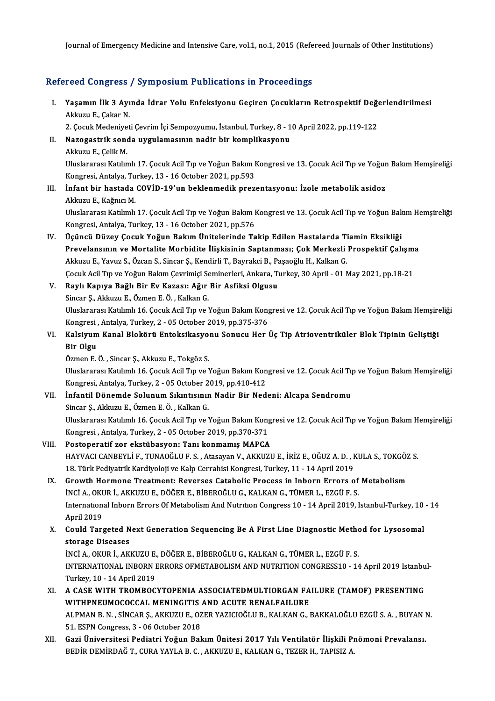Journal of Emergency Medicine and Intensive Care, vol.1, no.1, 2015 (Refereed Journals of Other Institutions)

#### Refereed Congress / Symposium Publications in Proceedings

efereed Congress / Symposium Publications in Proceedings<br>I. Yaşamın İlk 3 Ayında İdrar Yolu Enfeksiyonu Geçiren Çocukların Retrospektif Değerlendirilmesi<br>Aklaru E. Cakar N 1994 Songress<br>Yaşamın İlk 3 Ayı<br>Akkuzu E., Çakar N. Yaşamın İlk 3 Ayında İdrar Yolu Enfeksiyonu Geçiren Çocukların Retrospektif Değe<br>Akkuzu E., Çakar N.<br>2. Çocuk Medeniyeti Çevrim İçi Sempozyumu, İstanbul, Turkey, 8 - 10 April 2022, pp.119-122<br>Nazogastrik sonda uygulamasını

2. Çocuk Medeniyeti Çevrim İçi Sempozyumu, İstanbul, Turkey, 8 - 10 April 2022, pp.119-122

- Akkuzu E., Çakar N.<br>2. Çocuk Medeniyeti Çevrim İçi Sempozyumu, İstanbul, Turkey, 8 1<br>II. Nazogastrik sonda uygulamasının nadir bir komplikasyonu<br>Akkuzu E., Celik M. Uluslararası Katılımlı 17. Çocuk Acil Tıp ve Yoğun Bakım Kongresi ve 13. Çocuk Acil Tıp ve Yoğun Bakım Hemsireliği Akkuzu E., Çelik M.<br>Uluslararası Katılımlı 17. Çocuk Acil Tıp ve Yoğun Bakım I<br>Kongresi, Antalya, Turkey, 13 - 16 October 2021, pp.593<br>İnfant bir bastada COVİD, 19'un baklanmadik praz
- III. İnfant bir hastada COVİD-19'un beklenmedik prezentasyonu: İzole metabolik asidoz<br>Akkuzu E., Kağnıcı M. Kongresi, Antalya, Tu<br>**İnfant bir hastada**<br>Akkuzu E., Kağnıcı M.<br>Uluslananası Katılımlı İnfant bir hastada COVİD-19'un beklenmedik prezentasyonu: İzole metabolik asidoz<br>Akkuzu E., Kağnıcı M.<br>Uluslararası Katılımlı 17. Çocuk Acil Tıp ve Yoğun Bakım Kongresi ve 13. Çocuk Acil Tıp ve Yoğun Bakım Hemşireliği<br>Kong

Akkuzu E., Kağnıcı M.<br>Uluslararası Katılımlı 17. Çocuk Acil Tıp ve Yoğun Bakım I<br>Kongresi, Antalya, Turkey, 13 - 16 October 2021, pp.576<br>Üsüngü Dürey Cosuk Yoğun Bokum Ünitelerinde Te IV. Üçüncü Düzey Çocuk Yoğun BakımÜnitelerinde Takip Edilen Hastalarda Tiamin Eksikliği

Kongresi, Antalya, Turkey, 13 - 16 October 2021, pp.576<br>Üçüncü Düzey Çocuk Yoğun Bakım Ünitelerinde Takip Edilen Hastalarda Tiamin Eksikliği<br>Prevelansının ve Mortalite Morbidite İlişkisinin Saptanması; Çok Merkezli Prospek Üçüncü Düzey Çocuk Yoğun Bakım Ünitelerinde Takip Edilen Hastalarda Ti<br>Prevelansının ve Mortalite Morbidite İlişkisinin Saptanması; Çok Merkezli<br>Akkuzu E., Yavuz S., Özcan S., Sincar Ş., Kendirli T., Bayrakci B., Paşaoğlu Prevelansının ve Mortalite Morbidite İlişkisinin Saptanması; Çok Merkezli Prospektif Çalışmı<br>Akkuzu E., Yavuz S., Özcan S., Sincar Ş., Kendirli T., Bayrakci B., Paşaoğlu H., Kalkan G.<br>Çocuk Acil Tıp ve Yoğun Bakım Çevrimiç Akkuzu E., Yavuz S., Özcan S., Sincar Ş., Kendirli T., Bayrakci B., Paşaoğlu H., Kalkan G.<br>Çocuk Acil Tıp ve Yoğun Bakım Çevrimiçi Seminerleri, Ankara, Turkey, 30 April - 01 N.<br>V. Raylı Kapıya Bağlı Bir Ev Kazası: Ağır Bir Cocuk Acil Tıp ve Yoğun Bakım Çevrimiçi Seminerleri, Ankara, Turkey, 30 April - 01 May 2021, pp.18-21

Raylı Kapıya Bağlı Bir Ev Kazası: Ağır Bir Asfiksi Olgusu<br>Sincar Ş., Akkuzu E., Özmen E. Ö. , Kalkan G.<br>Uluslararası Katılımlı 16. Çocuk Acil Tıp ve Yoğun Bakım Kongresi ve 12. Çocuk Acil Tıp ve Yoğun Bakım Hemşireliği<br>Kon Sincar Ş., Akkuzu E., Özmen E. Ö. , Kalkan G.<br>Uluslararası Katılımlı 16. Çocuk Acil Tıp ve Yoğun Bakım Kong<br>Kongresi , Antalya, Turkey, 2 - 05 October 2019, pp.375-376<br>Kalsiyum Kanal Blokërji, Enteksikasyonu, Sonusu Her l Uluslararası Katılımlı 16. Çocuk Acil Tıp ve Yoğun Bakım Kongresi ve 12. Çocuk Acil Tıp ve Yoğun Bakım Hemşire<br>Kongresi , Antalya, Turkey, 2 - 05 October 2019, pp.375-376<br>VI. Kalsiyum Kanal Blokörü Entoksikasyonu Sonucu He

Kongresi<br><mark>Kalsiyum</mark><br>Bir Olgu<br>Özmen E Kalsiyum Kanal Blokörü Entoksikasyo:<br>Bir Olgu<br>Özmen E. Ö. , Sincar Ş., Akkuzu E., Tokgöz S.<br>Uluslarares: Katılımlı 16. Cosuk Asil Tın ve Y

Bir Olgu<br>Özmen E. Ö. , Sincar Ş., Akkuzu E., Tokgöz S.<br>Uluslararası Katılımlı 16. Çocuk Acil Tıp ve Yoğun Bakım Kongresi ve 12. Çocuk Acil Tıp ve Yoğun Bakım Hemsireliği Kongresi, Antalya, Turkey, 2 - 05 October 2019, pp.410-412 Uluslararası Katılımlı 16. Çocuk Acil Tıp ve Yoğun Bakım Kongresi ve 12. Çocuk Acil Tıp<br>Kongresi, Antalya, Turkey, 2 - 05 October 2019, pp.410-412<br>VII. İnfantil Dönemde Solunum Sıkıntısının Nadir Bir Nedeni: Alcapa Sendrom

Kongresi, Antalya, Turkey, 2 - 05 October 2<br>**İnfantil Dönemde Solunum Sıkıntısınır**<br>Sincar Ş., Akkuzu E., Özmen E. Ö. , Kalkan G.<br>Uluslararası Katılımlı 16 Cosult Asil Tın ve l İnfantil Dönemde Solunum Sıkıntısının Nadir Bir Nedeni: Alcapa Sendromu<br>Sincar Ş., Akkuzu E., Özmen E. Ö. , Kalkan G.<br>Uluslararası Katılımlı 16. Çocuk Acil Tıp ve Yoğun Bakım Kongresi ve 12. Çocuk Acil Tıp ve Yoğun Bakım H Sincar Ș., Akkuzu E., Özmen E. Ö. , Kalkan G.<br>Uluslararası Katılımlı 16. Çocuk Acil Tıp ve Yoğun Bakım Kong<br>Kongresi , Antalya, Turkey, 2 - 05 October 2019, pp.370-371<br>Besteneratif ser ekstübesyen: Tanı konmamıs MARCA Uluslararası Katılımlı 16. Çocuk Acil Tıp ve Yoğun Bakım Kong<br>Kongresi , Antalya, Turkey, 2 - 05 October 2019, pp.370-371<br>VIII. Postoperatif zor ekstübasyon: Tanı konmamış MAPCA<br>HAYVACI CANPEVI İ.E. TINAQĞLUE S. Atasayan V

### Kongresi , Antalya, Turkey, 2 - 05 October 2019, pp.370-371<br>Postoperatif zor ekstübasyon: Tanı konmamış MAPCA<br>HAYVACI CANBEYLİ F., TUNAOĞLU F. S. , Atasayan V., AKKUZU E., İRİZ E., OĞUZ A. D. , KULA S., TOKGÖZ S.<br>19. Türk Postoperatif zor ekstübasyon: Tanı konmamış MAPCA<br>HAYVACI CANBEYLİ F., TUNAOĞLU F. S. , Atasayan V., AKKUZU E., İRİZ E., OĞUZ A. D. , I<br>18. Türk Pediyatrik Kardiyoloji ve Kalp Cerrahisi Kongresi, Turkey, 11 - 14 April 2019

### HAYVACI CANBEYLI F., TUNAOĞLU F. S. , Atasayan V., AKKUZU E., İRİZ E., OĞUZ A. D. , KULA S., TOKGÖZ<br>18. Türk Pediyatrik Kardiyoloji ve Kalp Cerrahisi Kongresi, Turkey, 11 - 14 April 2019<br>IX. Growth Hormone Treatment: Rever 18. Türk Pediyatrik Kardiyoloji ve Kalp Cerrahisi Kongresi, Turkey, 11 - 14 April 2019<br>IX. Growth Hormone Treatment: Reverses Catabolic Process in Inborn Errors of Metabolism<br>INCI A., OKUR İ., AKKUZU E., DÖĞER E., BİBEROĞL Growth Hormone Treatment: Reverses Catabolic Process in Inborn Errors of Metabolism<br>INCI A., OKUR İ., AKKUZU E., DÖĞER E., BİBEROĞLU G., KALKAN G., TÜMER L., EZGÜ F. S.<br>International Inborn Errors Of Metabolism And Nutriti INCI A., OKU<br>Internation<br>April 2019<br>Could Tare International Inborn Errors Of Metabolism And Nutrition Congress 10 - 14 April 2019, Istanbul-Turkey, 10<br>April 2019<br>X. Could Targeted Next Generation Sequencing Be A First Line Diagnostic Method for Lysosomal<br>Atarage Disea

April 2019<br>Could Targeted N<br>storage Diseases<br>iNCLA OVUP LAV Could Targeted Next Generation Sequencing Be A First Line Diagnostic Metho<br>storage Diseases<br>İNCİ A., OKUR İ., AKKUZU E., DÖĞER E., BİBEROĞLU G., KALKAN G., TÜMER L., EZGÜ F. S.<br>INTERNATIONAL INRORN ERRORS OEMETAROLISM AND

storage Diseases<br>İNCİ A., OKUR İ., AKKUZU E., DÖĞER E., BİBEROĞLU G., KALKAN G., TÜMER L., EZGÜ F. S.<br>INTERNATIONAL INBORN ERRORS OFMETABOLISM AND NUTRITION CONGRESS10 - 14 April 2019 Istanbul-Turkey,10 -14April2019 INTERNATIONAL INBORN ERRORS OFMETABOLISM AND NUTRITION CONGRESS10 - 14 April 2019 Istanbu<br>Turkey, 10 - 14 April 2019<br>XI. A CASE WITH TROMBOCYTOPENIA ASSOCIATEDMULTIORGAN FAILURE (TAMOF) PRESENTING<br>WITHDNEUMOCOCCAL MENINCIT

- Turkey, 10 14 April 2019<br>A CASE WITH TROMBOCYTOPENIA ASSOCIATEDMULTIORGAN FA<br>WITHPNEUMOCOCCAL MENINGITIS AND ACUTE RENALFAILURE<br>ALPMAN P. N. SÍNGAR S. AKKUZU E. OZER VAZICIOČI U P. KALKAN G. I A CASE WITH TROMBOCYTOPENIA ASSOCIATEDMULTIORGAN FAILURE (TAMOF) PRESENTING<br>WITHPNEUMOCOCCAL MENINGITIS AND ACUTE RENALFAILURE<br>ALPMAN B. N. , SİNCAR Ş., AKKUZU E., OZER YAZICIOĞLU B., KALKAN G., BAKKALOĞLU EZGÜ S. A. , BUY WITHPNEUMOCOCCAL MENINGITIS<br>ALPMAN B. N. , SINCAR Ş., AKKUZU E., OZ<br>51. ESPN Congress, 3 - 06 October 2018<br>Cari Üniversitesi Bediatri Yeğun Bel
- ALPMAN B. N. , SİNCAR Ş., AKKUZU E., OZER YAZICIOĞLU B., KALKAN G., BAKKALOĞLU EZGÜ S. A. , BUYAN I<br>51. ESPN Congress, 3 06 October 2018<br>XII. Gazi Üniversitesi Pediatri Yoğun Bakım Ünitesi 2017 Yılı Ventilatör İlişki 51. ESPN Congress, 3 - 06 October 2018<br>XII. Gazi Üniversitesi Pediatri Yoğun Bakım Ünitesi 2017 Yılı Ventilatör İlişkili Pnömoni Prevalansı.<br>BEDİR DEMİRDAĞ T., CURA YAYLA B. C. , AKKUZU E., KALKAN G., TEZER H., TAPISIZ